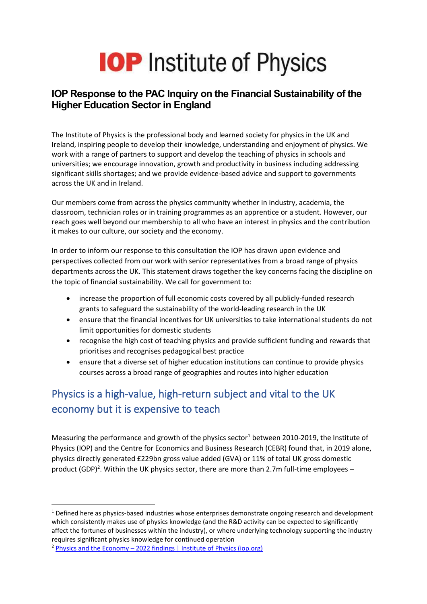# **IOP** Institute of Physics

#### **IOP Response to the PAC Inquiry on the Financial Sustainability of the Higher Education Sector in England**

The Institute of Physics is the professional body and learned society for physics in the UK and Ireland, inspiring people to develop their knowledge, understanding and enjoyment of physics. We work with a range of partners to support and develop the teaching of physics in schools and universities; we encourage innovation, growth and productivity in business including addressing significant skills shortages; and we provide evidence-based advice and support to governments across the UK and in Ireland.

Our members come from across the physics community whether in industry, academia, the classroom, technician roles or in training programmes as an apprentice or a student. However, our reach goes well beyond our membership to all who have an interest in physics and the contribution it makes to our culture, our society and the economy.

In order to inform our response to this consultation the IOP has drawn upon evidence and perspectives collected from our work with senior representatives from a broad range of physics departments across the UK. This statement draws together the key concerns facing the discipline on the topic of financial sustainability. We call for government to:

- increase the proportion of full economic costs covered by all publicly-funded research grants to safeguard the sustainability of the world-leading research in the UK
- ensure that the financial incentives for UK universities to take international students do not limit opportunities for domestic students
- recognise the high cost of teaching physics and provide sufficient funding and rewards that prioritises and recognises pedagogical best practice
- ensure that a diverse set of higher education institutions can continue to provide physics courses across a broad range of geographies and routes into higher education

# Physics is a high-value, high-return subject and vital to the UK economy but it is expensive to teach

Measuring the performance and growth of the physics sector<sup>1</sup> between 2010-2019, the Institute of Physics (IOP) and the Centre for Economics and Business Research (CEBR) found that, in 2019 alone, physics directly generated £229bn gross value added (GVA) or 11% of total UK gross domestic product (GDP)<sup>2</sup>. Within the UK physics sector, there are more than 2.7m full-time employees -

 $1$  Defined here as physics-based industries whose enterprises demonstrate ongoing research and development which consistently makes use of physics knowledge (and the R&D activity can be expected to significantly affect the fortunes of businesses within the industry), or where underlying technology supporting the industry requires significant physics knowledge for continued operation

<sup>&</sup>lt;sup>2</sup> Physics and the Economy – [2022 findings | Institute of Physics \(iop.org\)](https://www.iop.org/strategy/productivity-programme/physics-and-economy#gref)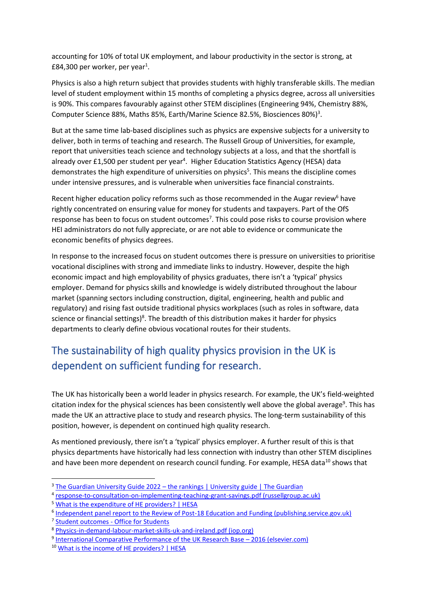accounting for 10% of total UK employment, and labour productivity in the sector is strong, at £84,300 per worker, per year<sup>1</sup>.

Physics is also a high return subject that provides students with highly transferable skills. The median level of student employment within 15 months of completing a physics degree, across all universities is 90%. This compares favourably against other STEM disciplines (Engineering 94%, Chemistry 88%, Computer Science 88%, Maths 85%, Earth/Marine Science 82.5%, Biosciences 80%)<sup>3</sup>.

But at the same time lab-based disciplines such as physics are expensive subjects for a university to deliver, both in terms of teaching and research. The Russell Group of Universities, for example, report that universities teach science and technology subjects at a loss, and that the shortfall is already over £1,500 per student per year<sup>4</sup>. Higher Education Statistics Agency (HESA) data demonstrates the high expenditure of universities on physics<sup>5</sup>. This means the discipline comes under intensive pressures, and is vulnerable when universities face financial constraints.

Recent higher education policy reforms such as those recommended in the Augar review<sup>6</sup> have rightly concentrated on ensuring value for money for students and taxpayers. Part of the OfS response has been to focus on student outcomes<sup>7</sup>. This could pose risks to course provision where HEI administrators do not fully appreciate, or are not able to evidence or communicate the economic benefits of physics degrees.

In response to the increased focus on student outcomes there is pressure on universities to prioritise vocational disciplines with strong and immediate links to industry. However, despite the high economic impact and high employability of physics graduates, there isn't a 'typical' physics employer. Demand for physics skills and knowledge is widely distributed throughout the labour market (spanning sectors including construction, digital, engineering, health and public and regulatory) and rising fast outside traditional physics workplaces (such as roles in software, data science or financial settings)<sup>8</sup>. The breadth of this distribution makes it harder for physics departments to clearly define obvious vocational routes for their students.

## The sustainability of high quality physics provision in the UK is dependent on sufficient funding for research.

The UK has historically been a world leader in physics research. For example, the UK's field-weighted citation index for the physical sciences has been consistently well above the global average<sup>9</sup>. This has made the UK an attractive place to study and research physics. The long-term sustainability of this position, however, is dependent on continued high quality research.

As mentioned previously, there isn't a 'typical' physics employer. A further result of this is that physics departments have historically had less connection with industry than other STEM disciplines and have been more dependent on research council funding. For example, HESA data<sup>10</sup> shows that

<sup>7</sup> [Student outcomes -](https://www.officeforstudents.org.uk/publications/student-outcomes-and-teaching-excellence-consultations/student-outcomes/) Office for Students

<sup>&</sup>lt;sup>3</sup> The Guardian University Guide 2022 – [the rankings | University guide | The Guardian](https://www.theguardian.com/education/ng-interactive/2021/sep/11/the-best-uk-universities-2022-rankings)

<sup>&</sup>lt;sup>4</sup> [response-to-consultation-on-implementing-teaching-grant-savings.pdf \(russellgroup.ac.uk\)](https://russellgroup.ac.uk/media/5842/response-to-consultation-on-implementing-teaching-grant-savings.pdf)

<sup>5</sup> [What is the expenditure of HE providers? | HESA](https://www.hesa.ac.uk/data-and-analysis/finances/expenditure)

<sup>&</sup>lt;sup>6</sup> Independent [panel report to the Review of Post-18 Education and Funding \(publishing.service.gov.uk\)](https://assets.publishing.service.gov.uk/government/uploads/system/uploads/attachment_data/file/805127/Review_of_post_18_education_and_funding.pdf)

<sup>8</sup> [Physics-in-demand-labour-market-skills-uk-and-ireland.pdf \(iop.org\)](https://www.iop.org/sites/default/files/2022-01/Physics-in-demand-labour-market-skills-uk-and-ireland.pdf)

<sup>&</sup>lt;sup>9</sup> [International Comparative Performance of the UK Research Base](https://www.elsevier.com/research-intelligence?a=507321) – 2016 (elsevier.com)

<sup>10</sup> [What is the income of HE providers? | HESA](https://www.hesa.ac.uk/data-and-analysis/finances/income)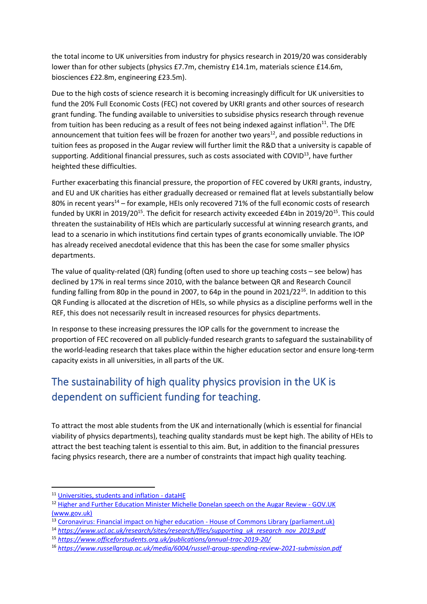the total income to UK universities from industry for physics research in 2019/20 was considerably lower than for other subjects (physics £7.7m, chemistry £14.1m, materials science £14.6m, biosciences £22.8m, engineering £23.5m).

Due to the high costs of science research it is becoming increasingly difficult for UK universities to fund the 20% Full Economic Costs (FEC) not covered by UKRI grants and other sources of research grant funding. The funding available to universities to subsidise physics research through revenue from tuition has been reducing as a result of fees not being indexed against inflation<sup>11</sup>. The DfE announcement that tuition fees will be frozen for another two years<sup>12</sup>, and possible reductions in tuition fees as proposed in the Augar review will further limit the R&D that a university is capable of supporting. Additional financial pressures, such as costs associated with COVID<sup>13</sup>, have further heighted these difficulties.

<span id="page-2-0"></span>Further exacerbating this financial pressure, the proportion of FEC covered by UKRI grants, industry, and EU and UK charities has either gradually decreased or remained flat at levels substantially below 80% in recent years<sup>14</sup> – for example, HEIs only recovered 71% of the full economic costs of research funded by UKRI in 2019/20<sup>[15](#page-2-0)</sup>. The deficit for research activity exceeded £4bn in 2019/20<sup>15</sup>. This could threaten the sustainability of HEIs which are particularly successful at winning research grants, and lead to a scenario in which institutions find certain types of grants economically unviable. The IOP has already received anecdotal evidence that this has been the case for some smaller physics departments.

The value of quality-related (QR) funding (often used to shore up teaching costs – see below) has declined by 17% in real terms since 2010, with the balance between QR and Research Council funding falling from 80p in the pound in 2007, to 64p in the pound in  $2021/22^{16}$ . In addition to this QR Funding is allocated at the discretion of HEIs, so while physics as a discipline performs well in the REF, this does not necessarily result in increased resources for physics departments.

In response to these increasing pressures the IOP calls for the government to increase the proportion of FEC recovered on all publicly-funded research grants to safeguard the sustainability of the world-leading research that takes place within the higher education sector and ensure long-term capacity exists in all universities, in all parts of the UK.

# The sustainability of high quality physics provision in the UK is dependent on sufficient funding for teaching.

To attract the most able students from the UK and internationally (which is essential for financial viability of physics departments), teaching quality standards must be kept high. The ability of HEIs to attract the best teaching talent is essential to this aim. But, in addition to the financial pressures facing physics research, there are a number of constraints that impact high quality teaching.

<sup>&</sup>lt;sup>11</sup> [Universities, students and inflation -](https://datahe.uk/2021/07/14/universities-students-and-inflation/) dataHE

<sup>&</sup>lt;sup>12</sup> [Higher and Further Education Minister Michelle Donelan speech on the Augar Review -](https://www.gov.uk/government/speeches/higher-and-further-education-minister-michelle-donelan-speech-on-the-augar-review) GOV.UK [\(www.gov.uk\)](https://www.gov.uk/government/speeches/higher-and-further-education-minister-michelle-donelan-speech-on-the-augar-review)

<sup>&</sup>lt;sup>13</sup> [Coronavirus: Financial impact on higher education -](https://commonslibrary.parliament.uk/research-briefings/cbp-8954/) House of Commons Library (parliament.uk)

<sup>14</sup> *[https://www.ucl.ac.uk/research/sites/research/files/supporting\\_uk\\_research\\_nov\\_2019.pdf](https://www.ucl.ac.uk/research/sites/research/files/supporting_uk_research_nov_2019.pdf)*

<sup>15</sup> *<https://www.officeforstudents.org.uk/publications/annual-trac-2019-20/>*

<sup>16</sup> *<https://www.russellgroup.ac.uk/media/6004/russell-group-spending-review-2021-submission.pdf>*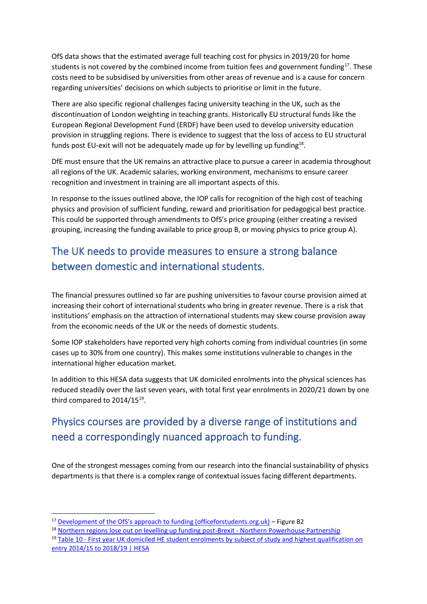OfS data shows that the estimated average full teaching cost for physics in 2019/20 for home students is not covered by the combined income from tuition fees and government funding<sup>17</sup>. These costs need to be subsidised by universities from other areas of revenue and is a cause for concern regarding universities' decisions on which subjects to prioritise or limit in the future.

There are also specific regional challenges facing university teaching in the UK, such as the discontinuation of London weighting in teaching grants. Historically EU structural funds like the European Regional Development Fund (ERDF) have been used to develop university education provision in struggling regions. There is evidence to suggest that the loss of access to EU structural funds post EU-exit will not be adequately made up for by levelling up funding<sup>18</sup>.

DfE must ensure that the UK remains an attractive place to pursue a career in academia throughout all regions of the UK. Academic salaries, working environment, mechanisms to ensure career recognition and investment in training are all important aspects of this.

In response to the issues outlined above, the IOP calls for recognition of the high cost of teaching physics and provision of sufficient funding, reward and prioritisation for pedagogical best practice. This could be supported through amendments to OfS's price grouping (either creating a revised grouping, increasing the funding available to price group B, or moving physics to price group A).

#### The UK needs to provide measures to ensure a strong balance between domestic and international students.

The financial pressures outlined so far are pushing universities to favour course provision aimed at increasing their cohort of international students who bring in greater revenue. There is a risk that institutions' emphasis on the attraction of international students may skew course provision away from the economic needs of the UK or the needs of domestic students.

Some IOP stakeholders have reported very high cohorts coming from individual countries (in some cases up to 30% from one country). This makes some institutions vulnerable to changes in the international higher education market.

In addition to this HESA data suggests that UK domiciled enrolments into the physical sciences has reduced steadily over the last seven years, with total first year enrolments in 2020/21 down by one third compared to  $2014/15^{19}$ .

#### Physics courses are provided by a diverse range of institutions and need a correspondingly nuanced approach to funding.

One of the strongest messages coming from our research into the financial sustainability of physics departments is that there is a complex range of contextual issues facing different departments.

<sup>19</sup> Table 10 - [First year UK domiciled HE student enrolments by subject of study and highest qualification on](https://www.hesa.ac.uk/data-and-analysis/students/table-10)  [entry 2014/15 to 2018/19 | HESA](https://www.hesa.ac.uk/data-and-analysis/students/table-10)

<sup>&</sup>lt;sup>17</sup> [Development of the OfS's approach to funding \(officeforstudents.org.uk\)](https://www.officeforstudents.org.uk/media/c05f5cc5-0f89-487f-931a-364543493040/web-bd-2020-sept-101-development-of-the-ofs-s-approach-to-funding.pdf) – Figure B2

<sup>&</sup>lt;sup>18</sup> [Northern regions lose out on levelling up funding post-Brexit -](https://www.northernpowerhousepartnership.co.uk/news/northern-regions-lose-out-on-levelling-up-funding-post-brexit/) Northern Powerhouse Partnership